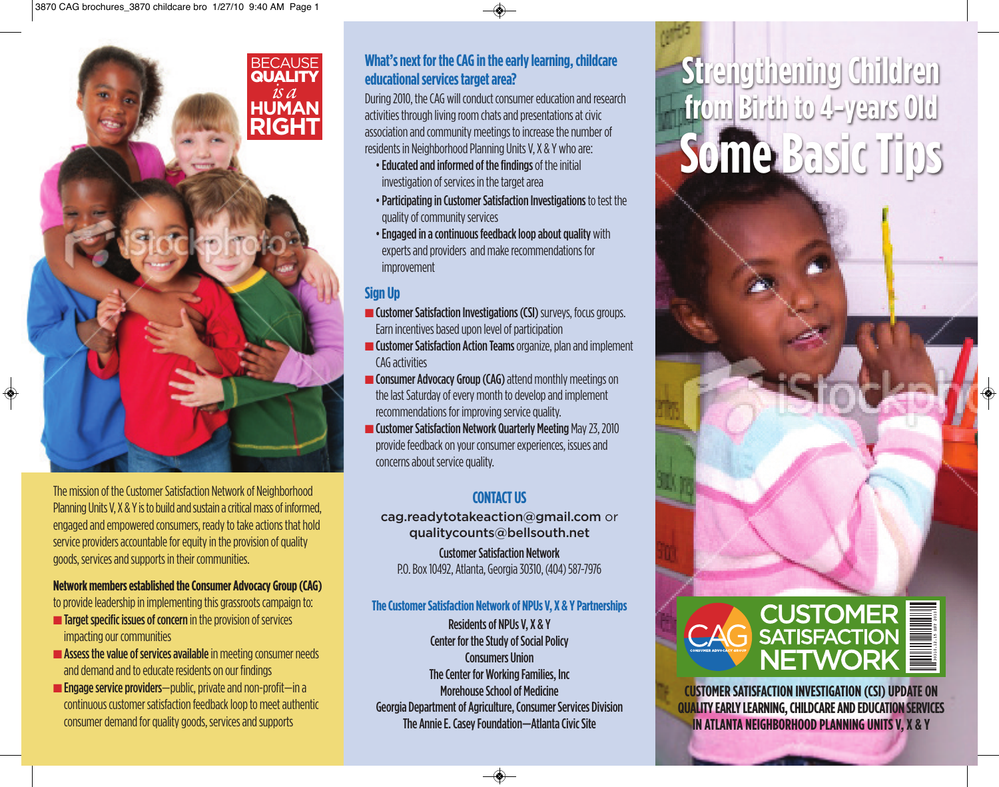

The mission of the Customer Satisfaction Network of Neighborhood Planning Units V, X & Y is to build and sustain a critical mass of informed. engaged and empowered consumers, ready to take actions that hold service providers accountable for equity in the provision of quality goods, services and supports in their communities.

#### Network members established the Consumer Advocacy Group (CAG)

to provide leadership in implementing this grassroots campaign to:

- Target specific issues of concern in the provision of services impacting our communities
- Assess the value of services available in meeting consumer needs and demand and to educate residents on our findings
- **Engage service providers**—public, private and non-profit—in a continuous customer satisfaction feedback loop to meet authentic consumer demand for quality goods, services and supports

## What's next for the CAG in the early learning, childcare educational services target area?

During 2010, the CAG will conduct consumer education and research activities through living room chats and presentations at civic association and community meetings to increase the number of residents in Neighborhood Planning Units V. X & Y who are:

- Educated and informed of the findings of the initial investigation of services in the target area
- . Participating in Customer Satisfaction Investigations to test the quality of community services
- . Engaged in a continuous feedback loop about quality with experts and providers and make recommendations for *improvement*

### **Sign Up**

- **Customer Satisfaction Investigations (CSI)** surveys, focus groups. Earn incentives based upon level of participation
- **Customer Satisfaction Action Teams** organize, plan and implement CAG activities
- Consumer Advocacy Group (CAG) attend monthly meetings on the last Saturday of every month to develop and implement recommendations for improving service quality.
- **Customer Satisfaction Network Quarterly Meeting May 23, 2010** provide feedback on your consumer experiences, issues and concerns about service quality.

# **CONTACT US**

cag.readytotakeaction@gmail.com or qualitycounts@bellsouth.net **Customer Satisfaction Network** P.O. Box 10492, Atlanta, Georgia 30310, (404) 587-7976

#### The Customer Satisfaction Network of NPUs V, X & Y Partnerships

**Residents of NPUs V, X & Y Center for the Study of Social Policy Consumers Union** The Center for Working Families, Inc. **Morehouse School of Medicine Georgia Department of Agriculture, Consumer Services Division** The Annie E. Casey Foundation-Atlanta Civic Site

◈

# Strengthening Children<br>from Birth to 4-years Old Some Basic Tips



**CUSTOMER SATISFACTION INVESTIGATION (CSI) UPDATE ON QUALITY EARLY LEARNING, CHILDCARE AND EDUCATION SERVICES** IN ATLANTA NEIGHBORHOOD PLANNING UNITS V, X & Y